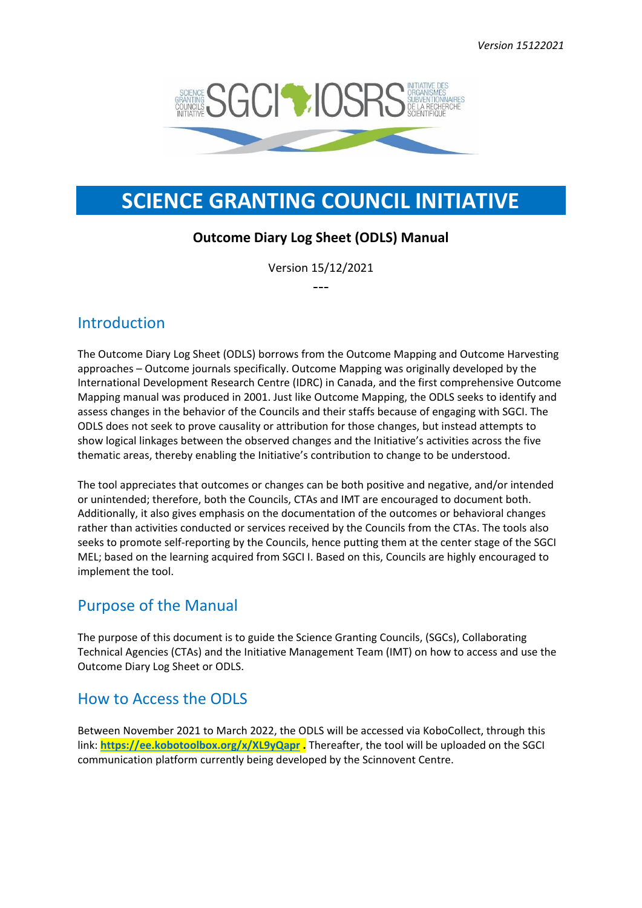

# **SCIENCE GRANTING COUNCIL INITIATIVE**

## **Outcome Diary Log Sheet (ODLS) Manual**

Version 15/12/2021 ---

## Introduction

The Outcome Diary Log Sheet (ODLS) borrows from the Outcome Mapping and Outcome Harvesting approaches – Outcome journals specifically. Outcome Mapping was originally developed by the International Development Research Centre (IDRC) in Canada, and the first comprehensive Outcome Mapping manual was produced in 2001. Just like Outcome Mapping, the ODLS seeks to identify and assess changes in the behavior of the Councils and their staffs because of engaging with SGCI. The ODLS does not seek to prove causality or attribution for those changes, but instead attempts to show logical linkages between the observed changes and the Initiative's activities across the five thematic areas, thereby enabling the Initiative's contribution to change to be understood.

The tool appreciates that outcomes or changes can be both positive and negative, and/or intended or unintended; therefore, both the Councils, CTAs and IMT are encouraged to document both. Additionally, it also gives emphasis on the documentation of the outcomes or behavioral changes rather than activities conducted or services received by the Councils from the CTAs. The tools also seeks to promote self-reporting by the Councils, hence putting them at the center stage of the SGCI MEL; based on the learning acquired from SGCI I. Based on this, Councils are highly encouraged to implement the tool.

## Purpose of the Manual

The purpose of this document is to guide the Science Granting Councils, (SGCs), Collaborating Technical Agencies (CTAs) and the Initiative Management Team (IMT) on how to access and use the Outcome Diary Log Sheet or ODLS.

## How to Access the ODLS

Between November 2021 to March 2022, the ODLS will be accessed via KoboCollect, through this link: **<https://ee.kobotoolbox.org/x/XL9yQapr> .** Thereafter, the tool will be uploaded on the SGCI communication platform currently being developed by the Scinnovent Centre.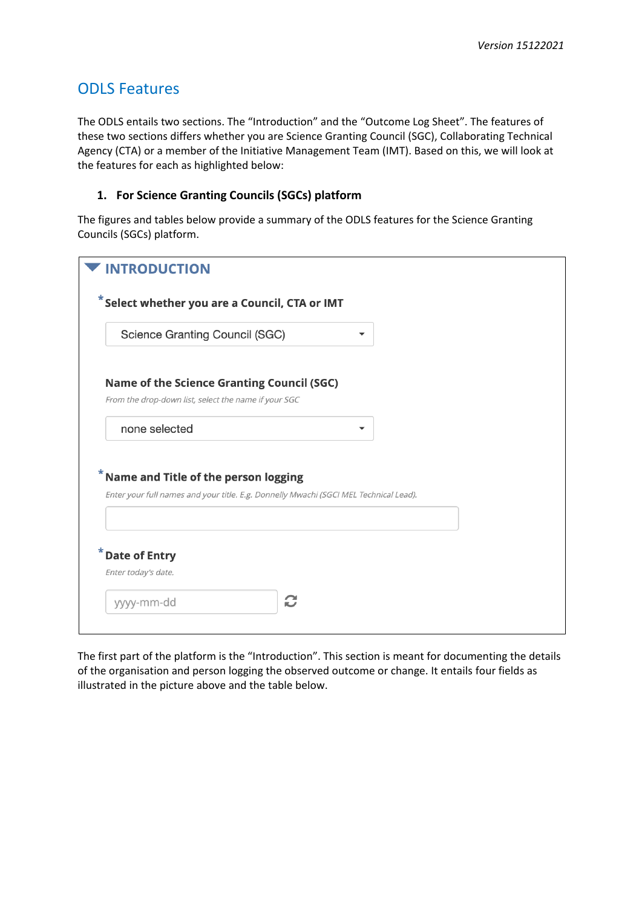## ODLS Features

The ODLS entails two sections. The "Introduction" and the "Outcome Log Sheet". The features of these two sections differs whether you are Science Granting Council (SGC), Collaborating Technical Agency (CTA) or a member of the Initiative Management Team (IMT). Based on this, we will look at the features for each as highlighted below:

### **1. For Science Granting Councils (SGCs) platform**

The figures and tables below provide a summary of the ODLS features for the Science Granting Councils (SGCs) platform.

| <b>INTRODUCTION</b>                                                                                                           |  |
|-------------------------------------------------------------------------------------------------------------------------------|--|
| $*$ Select whether you are a Council, CTA or IMT                                                                              |  |
| <b>Science Granting Council (SGC)</b>                                                                                         |  |
| <b>Name of the Science Granting Council (SGC)</b>                                                                             |  |
| From the drop-down list, select the name if your SGC                                                                          |  |
| none selected                                                                                                                 |  |
| Name and Title of the person logging<br>Enter your full names and your title. E.g. Donnelly Mwachi (SGCI MEL Technical Lead). |  |
| <b>Date of Entry</b>                                                                                                          |  |
| Enter today's date.                                                                                                           |  |
| C<br>yyyy-mm-dd                                                                                                               |  |
|                                                                                                                               |  |

The first part of the platform is the "Introduction". This section is meant for documenting the details of the organisation and person logging the observed outcome or change. It entails four fields as illustrated in the picture above and the table below.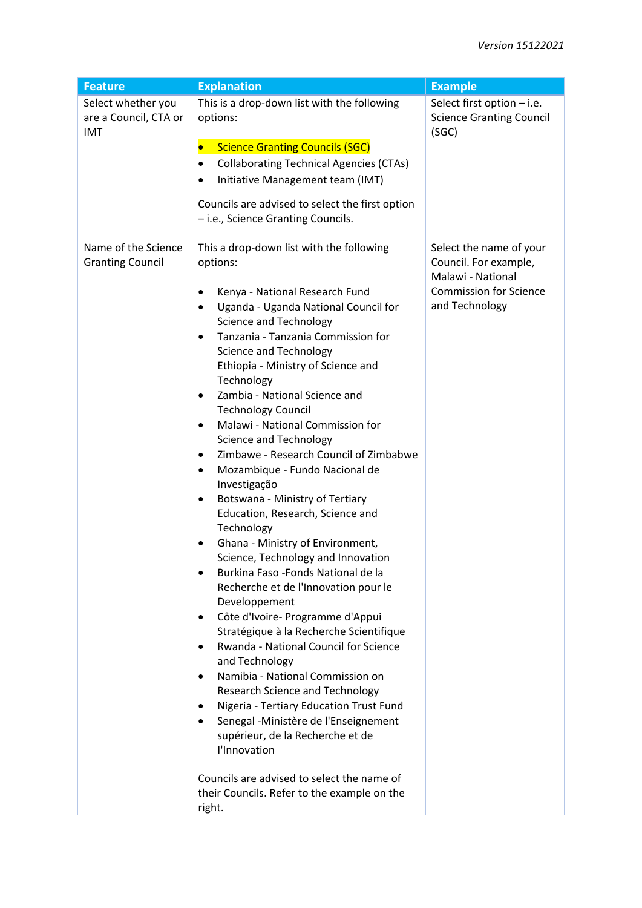| <b>Feature</b>                                     | <b>Explanation</b>                                                                                                                                                                                                                                                                                                                                                                                                                                                                                                                                                                                                                                                                                                                                                                                                                                                                                                                                                                                                                                                                                                                                                                                                                                                                                                                                                                             | <b>Example</b>                                                                                                           |
|----------------------------------------------------|------------------------------------------------------------------------------------------------------------------------------------------------------------------------------------------------------------------------------------------------------------------------------------------------------------------------------------------------------------------------------------------------------------------------------------------------------------------------------------------------------------------------------------------------------------------------------------------------------------------------------------------------------------------------------------------------------------------------------------------------------------------------------------------------------------------------------------------------------------------------------------------------------------------------------------------------------------------------------------------------------------------------------------------------------------------------------------------------------------------------------------------------------------------------------------------------------------------------------------------------------------------------------------------------------------------------------------------------------------------------------------------------|--------------------------------------------------------------------------------------------------------------------------|
| Select whether you<br>are a Council, CTA or<br>IMT | This is a drop-down list with the following<br>options:<br><b>Science Granting Councils (SGC)</b><br><b>Collaborating Technical Agencies (CTAs)</b><br>Initiative Management team (IMT)<br>Councils are advised to select the first option<br>- i.e., Science Granting Councils.                                                                                                                                                                                                                                                                                                                                                                                                                                                                                                                                                                                                                                                                                                                                                                                                                                                                                                                                                                                                                                                                                                               | Select first option - i.e.<br><b>Science Granting Council</b><br>(SGC)                                                   |
| Name of the Science<br><b>Granting Council</b>     | This a drop-down list with the following<br>options:<br>Kenya - National Research Fund<br>Uganda - Uganda National Council for<br>$\bullet$<br><b>Science and Technology</b><br>Tanzania - Tanzania Commission for<br>$\bullet$<br><b>Science and Technology</b><br>Ethiopia - Ministry of Science and<br>Technology<br>Zambia - National Science and<br>٠<br><b>Technology Council</b><br>Malawi - National Commission for<br>$\bullet$<br><b>Science and Technology</b><br>Zimbawe - Research Council of Zimbabwe<br>$\bullet$<br>Mozambique - Fundo Nacional de<br>$\bullet$<br>Investigação<br>Botswana - Ministry of Tertiary<br>٠<br>Education, Research, Science and<br>Technology<br>Ghana - Ministry of Environment,<br>$\bullet$<br>Science, Technology and Innovation<br>Burkina Faso - Fonds National de la<br>Recherche et de l'Innovation pour le<br>Developpement<br>Côte d'Ivoire- Programme d'Appui<br>$\bullet$<br>Stratégique à la Recherche Scientifique<br>Rwanda - National Council for Science<br>$\bullet$<br>and Technology<br>Namibia - National Commission on<br>$\bullet$<br><b>Research Science and Technology</b><br>Nigeria - Tertiary Education Trust Fund<br>Senegal - Ministère de l'Enseignement<br>supérieur, de la Recherche et de<br>l'Innovation<br>Councils are advised to select the name of<br>their Councils. Refer to the example on the<br>right. | Select the name of your<br>Council. For example,<br>Malawi - National<br><b>Commission for Science</b><br>and Technology |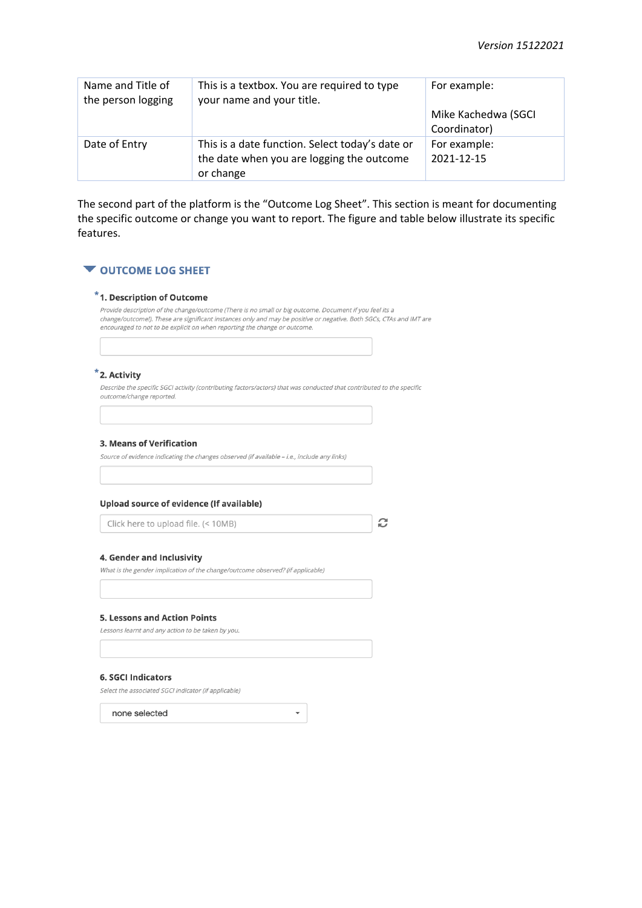| Name and Title of<br>the person logging | This is a textbox. You are required to type<br>your name and your title.                                  | For example:                        |
|-----------------------------------------|-----------------------------------------------------------------------------------------------------------|-------------------------------------|
|                                         |                                                                                                           | Mike Kachedwa (SGCI<br>Coordinator) |
| Date of Entry                           | This is a date function. Select today's date or<br>the date when you are logging the outcome<br>or change | For example:<br>2021-12-15          |

The second part of the platform is the "Outcome Log Sheet". This section is meant for documenting the specific outcome or change you want to report. The figure and table below illustrate its specific features.

### **VOUTCOME LOG SHEET**

### \*1. Description of Outcome

Provide description of the change/outcome (There is no small or big outcome. Document if you feel its a change/outcome!). These are significant instances only and may be positive or negative. Both SGCs, CTAs and IMT are encouraged to not to be explicit on when reporting the change or outcome.

### \*2. Activity

Describe the specific SGCI activity (contributing factors/actors) that was conducted that contributed to the specific outcome/change reported.

 $\bar{\phantom{a}}$ 

#### 3. Means of Verification

Source of evidence indicating the changes observed (if available - i.e., include any links)

### Upload source of evidence (If available)

Click here to upload file. (< 10MB)

C

### 4. Gender and Inclusivity

What is the gender implication of the change/outcome observed? (if applicable)

#### **5. Lessons and Action Points**

Lessons learnt and any action to be taken by you.

#### **6. SGCI Indicators**

Select the associated SGCI indicator (if applicable)

none selected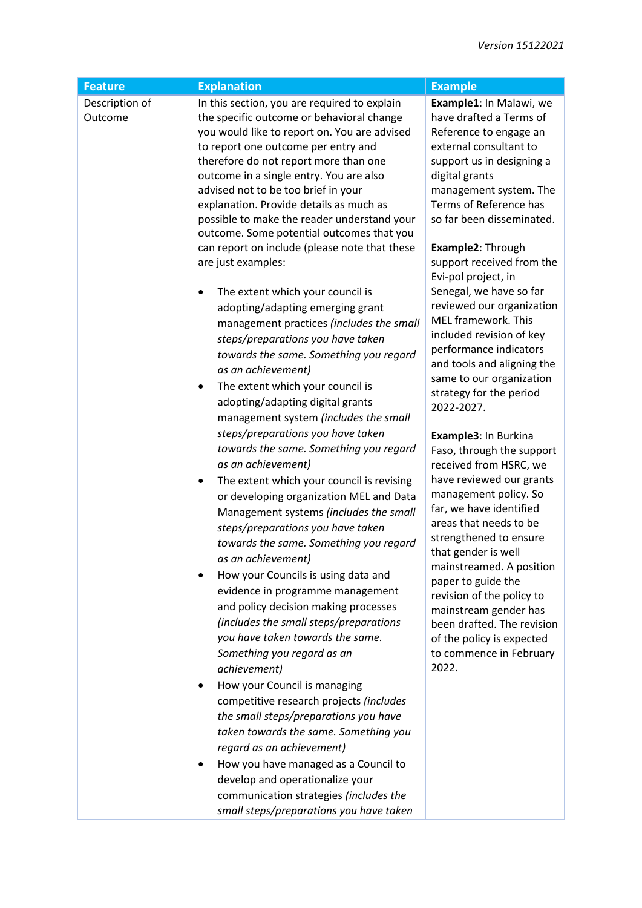| <b>Feature</b>            | <b>Explanation</b>                                                                                                                                                                                                                                                                                                                                                                                                                                                                                                                                                                                                                                                                                                                                                                                                                                                                                                                                                                                                                                                                                                                                                                                                                                                      | <b>Example</b>                                                                                                                                                                                                                                                                                                                                                                                                                                                                                                                                                                                                                                                                        |
|---------------------------|-------------------------------------------------------------------------------------------------------------------------------------------------------------------------------------------------------------------------------------------------------------------------------------------------------------------------------------------------------------------------------------------------------------------------------------------------------------------------------------------------------------------------------------------------------------------------------------------------------------------------------------------------------------------------------------------------------------------------------------------------------------------------------------------------------------------------------------------------------------------------------------------------------------------------------------------------------------------------------------------------------------------------------------------------------------------------------------------------------------------------------------------------------------------------------------------------------------------------------------------------------------------------|---------------------------------------------------------------------------------------------------------------------------------------------------------------------------------------------------------------------------------------------------------------------------------------------------------------------------------------------------------------------------------------------------------------------------------------------------------------------------------------------------------------------------------------------------------------------------------------------------------------------------------------------------------------------------------------|
| Description of<br>Outcome | In this section, you are required to explain<br>the specific outcome or behavioral change<br>you would like to report on. You are advised<br>to report one outcome per entry and<br>therefore do not report more than one<br>outcome in a single entry. You are also<br>advised not to be too brief in your<br>explanation. Provide details as much as<br>possible to make the reader understand your<br>outcome. Some potential outcomes that you<br>can report on include (please note that these<br>are just examples:                                                                                                                                                                                                                                                                                                                                                                                                                                                                                                                                                                                                                                                                                                                                               | Example1: In Malawi, we<br>have drafted a Terms of<br>Reference to engage an<br>external consultant to<br>support us in designing a<br>digital grants<br>management system. The<br>Terms of Reference has<br>so far been disseminated.<br>Example2: Through<br>support received from the<br>Evi-pol project, in                                                                                                                                                                                                                                                                                                                                                                       |
|                           | The extent which your council is<br>adopting/adapting emerging grant<br>management practices (includes the small<br>steps/preparations you have taken<br>towards the same. Something you regard<br>as an achievement)<br>The extent which your council is<br>$\bullet$<br>adopting/adapting digital grants<br>management system (includes the small<br>steps/preparations you have taken<br>towards the same. Something you regard<br>as an achievement)<br>The extent which your council is revising<br>٠<br>or developing organization MEL and Data<br>Management systems (includes the small<br>steps/preparations you have taken<br>towards the same. Something you regard<br>as an achievement)<br>How your Councils is using data and<br>evidence in programme management<br>and policy decision making processes<br>(includes the small steps/preparations<br>you have taken towards the same.<br>Something you regard as an<br>achievement)<br>How your Council is managing<br>٠<br>competitive research projects (includes<br>the small steps/preparations you have<br>taken towards the same. Something you<br>regard as an achievement)<br>How you have managed as a Council to<br>develop and operationalize your<br>communication strategies (includes the | Senegal, we have so far<br>reviewed our organization<br>MEL framework. This<br>included revision of key<br>performance indicators<br>and tools and aligning the<br>same to our organization<br>strategy for the period<br>2022-2027.<br>Example3: In Burkina<br>Faso, through the support<br>received from HSRC, we<br>have reviewed our grants<br>management policy. So<br>far, we have identified<br>areas that needs to be<br>strengthened to ensure<br>that gender is well<br>mainstreamed. A position<br>paper to guide the<br>revision of the policy to<br>mainstream gender has<br>been drafted. The revision<br>of the policy is expected<br>to commence in February<br>2022. |
|                           | small steps/preparations you have taken                                                                                                                                                                                                                                                                                                                                                                                                                                                                                                                                                                                                                                                                                                                                                                                                                                                                                                                                                                                                                                                                                                                                                                                                                                 |                                                                                                                                                                                                                                                                                                                                                                                                                                                                                                                                                                                                                                                                                       |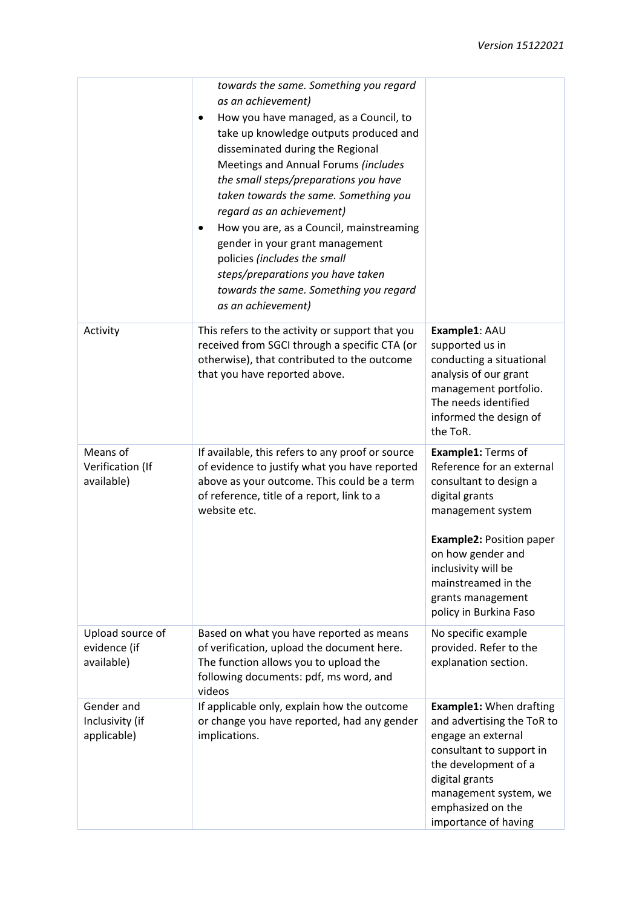|                                                | towards the same. Something you regard<br>as an achievement)<br>How you have managed, as a Council, to<br>$\bullet$<br>take up knowledge outputs produced and<br>disseminated during the Regional<br>Meetings and Annual Forums (includes<br>the small steps/preparations you have<br>taken towards the same. Something you<br>regard as an achievement)<br>How you are, as a Council, mainstreaming<br>٠<br>gender in your grant management<br>policies (includes the small<br>steps/preparations you have taken<br>towards the same. Something you regard<br>as an achievement) |                                                                                                                                                                                                                                                                       |
|------------------------------------------------|-----------------------------------------------------------------------------------------------------------------------------------------------------------------------------------------------------------------------------------------------------------------------------------------------------------------------------------------------------------------------------------------------------------------------------------------------------------------------------------------------------------------------------------------------------------------------------------|-----------------------------------------------------------------------------------------------------------------------------------------------------------------------------------------------------------------------------------------------------------------------|
| Activity                                       | This refers to the activity or support that you<br>received from SGCI through a specific CTA (or<br>otherwise), that contributed to the outcome<br>that you have reported above.                                                                                                                                                                                                                                                                                                                                                                                                  | Example1: AAU<br>supported us in<br>conducting a situational<br>analysis of our grant<br>management portfolio.<br>The needs identified<br>informed the design of<br>the ToR.                                                                                          |
| Means of<br>Verification (If<br>available)     | If available, this refers to any proof or source<br>of evidence to justify what you have reported<br>above as your outcome. This could be a term<br>of reference, title of a report, link to a<br>website etc.                                                                                                                                                                                                                                                                                                                                                                    | Example1: Terms of<br>Reference for an external<br>consultant to design a<br>digital grants<br>management system<br><b>Example2: Position paper</b><br>on how gender and<br>inclusivity will be<br>mainstreamed in the<br>grants management<br>policy in Burkina Faso |
| Upload source of<br>evidence (if<br>available) | Based on what you have reported as means<br>of verification, upload the document here.<br>The function allows you to upload the<br>following documents: pdf, ms word, and<br>videos                                                                                                                                                                                                                                                                                                                                                                                               | No specific example<br>provided. Refer to the<br>explanation section.                                                                                                                                                                                                 |
| Gender and<br>Inclusivity (if<br>applicable)   | If applicable only, explain how the outcome<br>or change you have reported, had any gender<br>implications.                                                                                                                                                                                                                                                                                                                                                                                                                                                                       | <b>Example1: When drafting</b><br>and advertising the ToR to<br>engage an external<br>consultant to support in<br>the development of a<br>digital grants<br>management system, we<br>emphasized on the<br>importance of having                                        |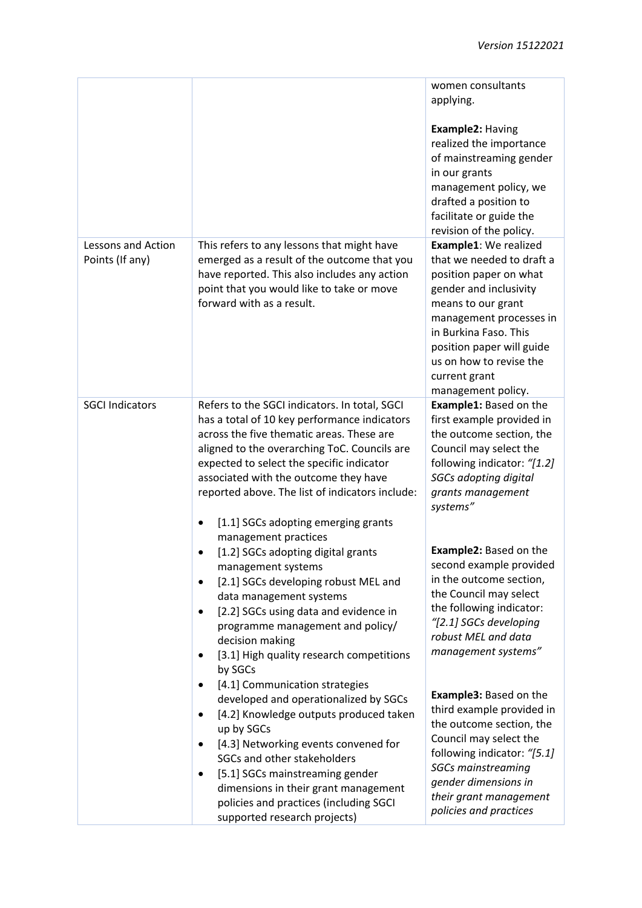|                                       |                                                                                                                                                                                                                                                                                                                                                                                    | women consultants<br>applying.<br>Example2: Having<br>realized the importance<br>of mainstreaming gender<br>in our grants<br>management policy, we<br>drafted a position to<br>facilitate or guide the<br>revision of the policy.                                               |
|---------------------------------------|------------------------------------------------------------------------------------------------------------------------------------------------------------------------------------------------------------------------------------------------------------------------------------------------------------------------------------------------------------------------------------|---------------------------------------------------------------------------------------------------------------------------------------------------------------------------------------------------------------------------------------------------------------------------------|
| Lessons and Action<br>Points (If any) | This refers to any lessons that might have<br>emerged as a result of the outcome that you<br>have reported. This also includes any action<br>point that you would like to take or move<br>forward with as a result.                                                                                                                                                                | Example1: We realized<br>that we needed to draft a<br>position paper on what<br>gender and inclusivity<br>means to our grant<br>management processes in<br>in Burkina Faso. This<br>position paper will guide<br>us on how to revise the<br>current grant<br>management policy. |
| <b>SGCI Indicators</b>                | Refers to the SGCI indicators. In total, SGCI<br>has a total of 10 key performance indicators<br>across the five thematic areas. These are<br>aligned to the overarching ToC. Councils are<br>expected to select the specific indicator<br>associated with the outcome they have<br>reported above. The list of indicators include:<br>[1.1] SGCs adopting emerging grants         | <b>Example1: Based on the</b><br>first example provided in<br>the outcome section, the<br>Council may select the<br>following indicator: "[1.2]<br>SGCs adopting digital<br>grants management<br>systems"                                                                       |
|                                       | management practices<br>[1.2] SGCs adopting digital grants<br>٠<br>management systems<br>[2.1] SGCs developing robust MEL and<br>$\bullet$<br>data management systems<br>[2.2] SGCs using data and evidence in<br>٠<br>programme management and policy/<br>decision making<br>[3.1] High quality research competitions<br>٠<br>by SGCs                                             | <b>Example2: Based on the</b><br>second example provided<br>in the outcome section,<br>the Council may select<br>the following indicator:<br>"[2.1] SGCs developing<br>robust MEL and data<br>management systems"                                                               |
|                                       | [4.1] Communication strategies<br>٠<br>developed and operationalized by SGCs<br>[4.2] Knowledge outputs produced taken<br>$\bullet$<br>up by SGCs<br>[4.3] Networking events convened for<br>SGCs and other stakeholders<br>[5.1] SGCs mainstreaming gender<br>٠<br>dimensions in their grant management<br>policies and practices (including SGCI<br>supported research projects) | Example3: Based on the<br>third example provided in<br>the outcome section, the<br>Council may select the<br>following indicator: "[5.1]<br><b>SGCs mainstreaming</b><br>gender dimensions in<br>their grant management<br>policies and practices                               |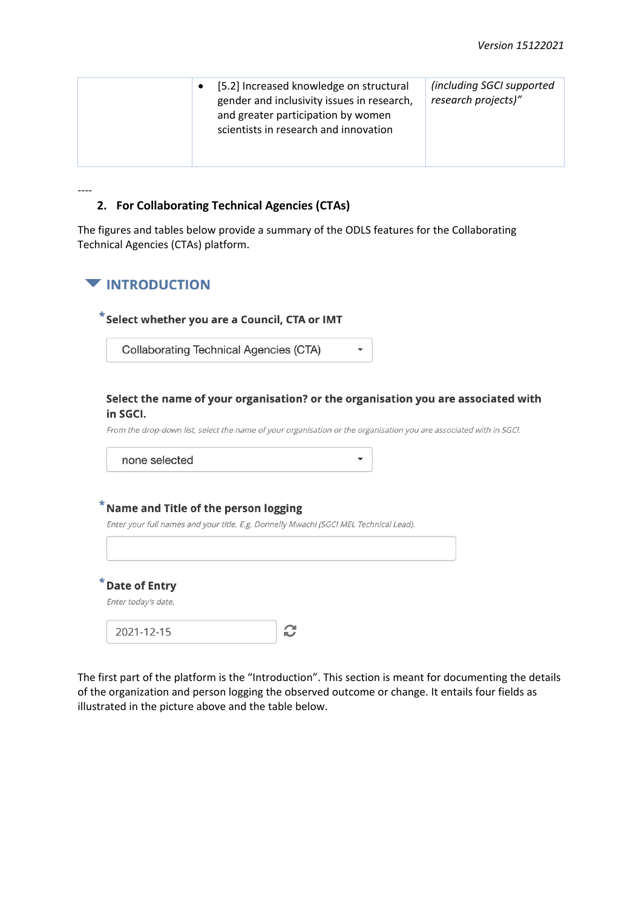| [5.2] Increased knowledge on structural<br>gender and inclusivity issues in research,<br>and greater participation by women<br>scientists in research and innovation | (including SGCI supported<br>research projects)" |
|----------------------------------------------------------------------------------------------------------------------------------------------------------------------|--------------------------------------------------|
|                                                                                                                                                                      |                                                  |

## **2. For Collaborating Technical Agencies (CTAs)**

The figures and tables below provide a summary of the ODLS features for the Collaborating Technical Agencies (CTAs) platform.

## **VINTRODUCTION**

----

### $^*$ Select whether you are a Council, CTA or IMT

**Collaborating Technical Agencies (CTA)** 

### Select the name of your organisation? or the organisation you are associated with in SGCI.

 $\overline{\phantom{0}}$ 

From the drop-down list, select the name of your organisation or the organisation you are associated with in SGCI.

### $^*$  Name and Title of the person logging

Enter your full names and your title. E.g. Donnelly Mwachi (SGCI MEL Technical Lead).

\*Date of Entry

Enter today's date.

| 2021-12-15 |  |
|------------|--|
|------------|--|

The first part of the platform is the "Introduction". This section is meant for documenting the details of the organization and person logging the observed outcome or change. It entails four fields as illustrated in the picture above and the table below.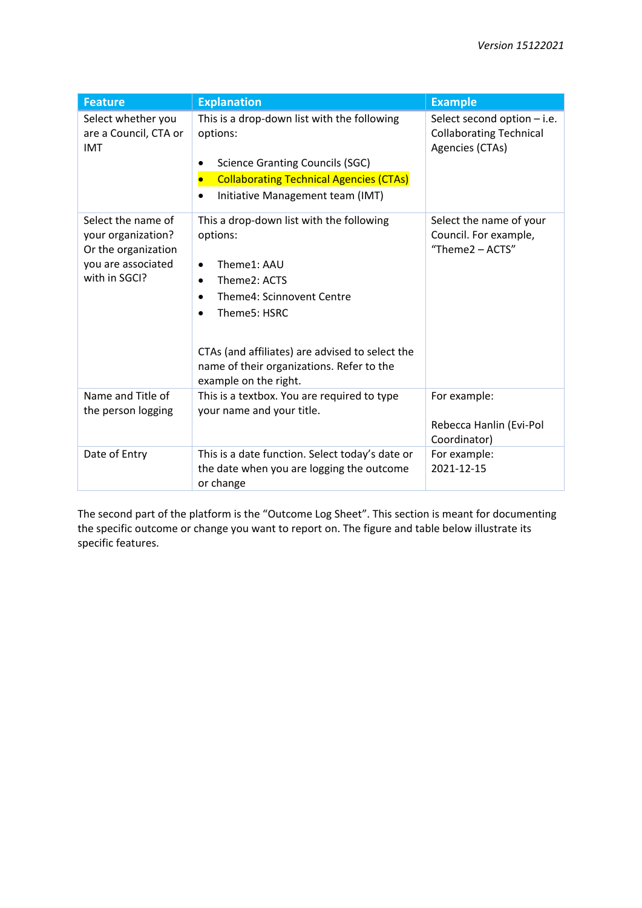| <b>Feature</b>                                                                                         | <b>Explanation</b>                                                                                                                                                                                                                                        | <b>Example</b>                                                                   |
|--------------------------------------------------------------------------------------------------------|-----------------------------------------------------------------------------------------------------------------------------------------------------------------------------------------------------------------------------------------------------------|----------------------------------------------------------------------------------|
| Select whether you<br>are a Council, CTA or<br><b>IMT</b>                                              | This is a drop-down list with the following<br>options:<br><b>Science Granting Councils (SGC)</b><br><b>Collaborating Technical Agencies (CTAs)</b><br>Initiative Management team (IMT)                                                                   | Select second option - i.e.<br><b>Collaborating Technical</b><br>Agencies (CTAs) |
| Select the name of<br>your organization?<br>Or the organization<br>you are associated<br>with in SGCI? | This a drop-down list with the following<br>options:<br>Theme1: AAU<br>Theme2: ACTS<br>Theme4: Scinnovent Centre<br>Theme5: HSRC<br>CTAs (and affiliates) are advised to select the<br>name of their organizations. Refer to the<br>example on the right. | Select the name of your<br>Council. For example,<br>"Theme2 - ACTS"              |
| Name and Title of<br>the person logging                                                                | This is a textbox. You are required to type<br>your name and your title.                                                                                                                                                                                  | For example:<br>Rebecca Hanlin (Evi-Pol<br>Coordinator)                          |
| Date of Entry                                                                                          | This is a date function. Select today's date or<br>the date when you are logging the outcome<br>or change                                                                                                                                                 | For example:<br>2021-12-15                                                       |

The second part of the platform is the "Outcome Log Sheet". This section is meant for documenting the specific outcome or change you want to report on. The figure and table below illustrate its specific features.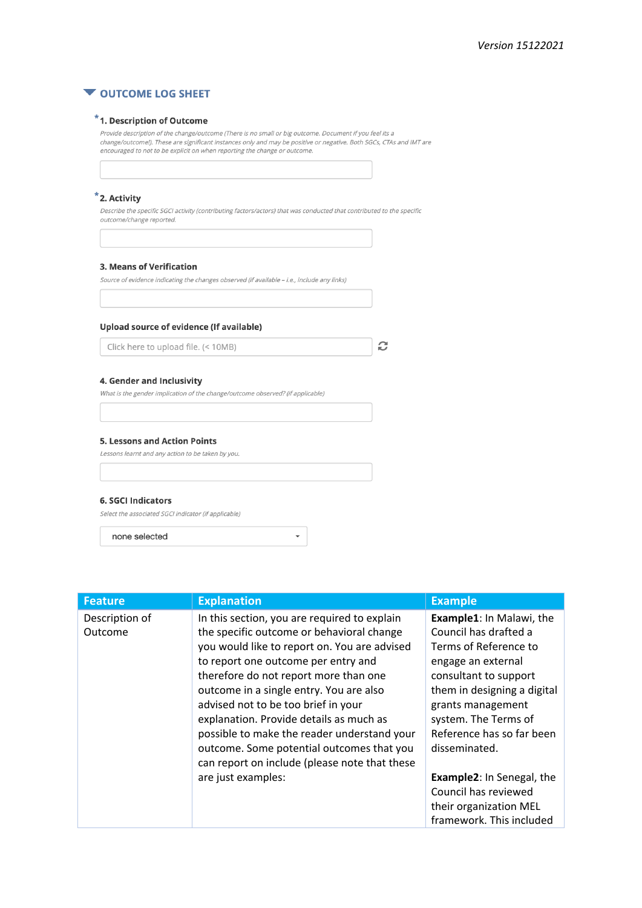

## $*$  1. Description of Outcome

Provide description of the change/outcome (There is no small or big outcome. Document if you feel its a change/outcome!). These are significant instances only and may be positive or negative. Both SGCs, CTAs and IMT are encouraged to not to be explicit on when reporting the change or outcome.

### \*2. Activity

Describe the specific SGCI activity (contributing factors/actors) that was conducted that contributed to the specific outcome/change reported.

#### 3. Means of Verification

Source of evidence indicating the changes observed (if available - i.e., include any links)

### Upload source of evidence (If available)

Click here to upload file. (< 10MB)

#### 4. Gender and Inclusivity

What is the gender implication of the change/outcome observed? (if applicable)

#### **5. Lessons and Action Points**

Lessons learnt and any action to be taken by you.

#### **6. SGCI Indicators**

Select the associated SGCI indicator (if applicable)

none selected

| <b>Feature</b>            | <b>Explanation</b>                                                                                                                                                                                                                                                                                                                                                                                                                                                                                                        | <b>Example</b>                                                                                                                                                                                                                                                                                           |
|---------------------------|---------------------------------------------------------------------------------------------------------------------------------------------------------------------------------------------------------------------------------------------------------------------------------------------------------------------------------------------------------------------------------------------------------------------------------------------------------------------------------------------------------------------------|----------------------------------------------------------------------------------------------------------------------------------------------------------------------------------------------------------------------------------------------------------------------------------------------------------|
| Description of<br>Outcome | In this section, you are required to explain<br>the specific outcome or behavioral change<br>you would like to report on. You are advised<br>to report one outcome per entry and<br>therefore do not report more than one<br>outcome in a single entry. You are also<br>advised not to be too brief in your<br>explanation. Provide details as much as<br>possible to make the reader understand your<br>outcome. Some potential outcomes that you<br>can report on include (please note that these<br>are just examples: | Example1: In Malawi, the<br>Council has drafted a<br>Terms of Reference to<br>engage an external<br>consultant to support<br>them in designing a digital<br>grants management<br>system. The Terms of<br>Reference has so far been<br>disseminated.<br>Example2: In Senegal, the<br>Council has reviewed |
|                           |                                                                                                                                                                                                                                                                                                                                                                                                                                                                                                                           | their organization MEL<br>framework. This included                                                                                                                                                                                                                                                       |

 $\downarrow$ 

C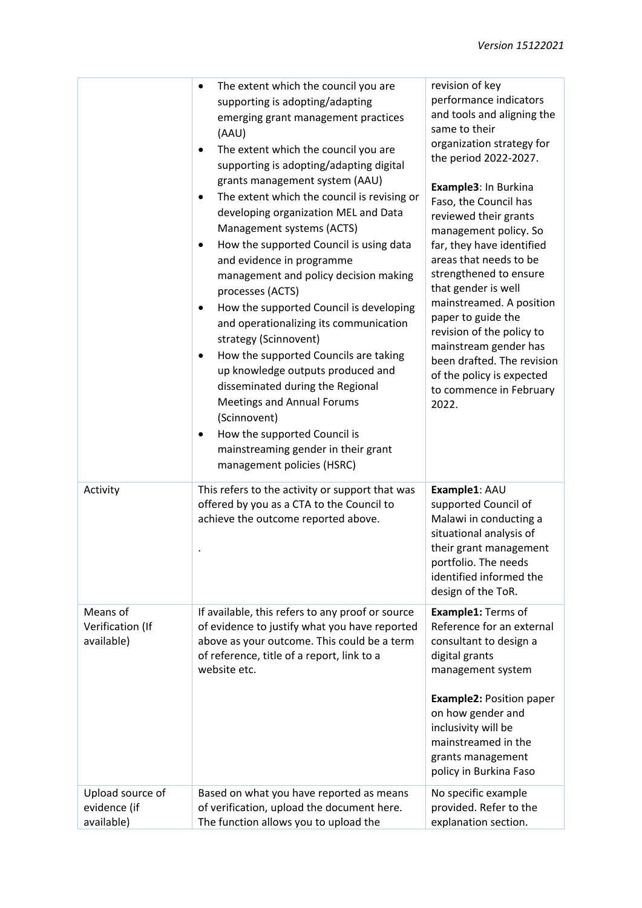|                                            | The extent which the council you are<br>$\bullet$<br>supporting is adopting/adapting                                                                                                                                                                                                                                                                                                                                                                                                                                                                                                                                                                                                           | revision of key<br>performance indicators                                                                                                                                                                                                                                                                                                                                                                      |
|--------------------------------------------|------------------------------------------------------------------------------------------------------------------------------------------------------------------------------------------------------------------------------------------------------------------------------------------------------------------------------------------------------------------------------------------------------------------------------------------------------------------------------------------------------------------------------------------------------------------------------------------------------------------------------------------------------------------------------------------------|----------------------------------------------------------------------------------------------------------------------------------------------------------------------------------------------------------------------------------------------------------------------------------------------------------------------------------------------------------------------------------------------------------------|
|                                            | emerging grant management practices<br>(AAU)                                                                                                                                                                                                                                                                                                                                                                                                                                                                                                                                                                                                                                                   | and tools and aligning the<br>same to their                                                                                                                                                                                                                                                                                                                                                                    |
|                                            | The extent which the council you are<br>supporting is adopting/adapting digital                                                                                                                                                                                                                                                                                                                                                                                                                                                                                                                                                                                                                | organization strategy for<br>the period 2022-2027.                                                                                                                                                                                                                                                                                                                                                             |
|                                            | grants management system (AAU)<br>The extent which the council is revising or<br>developing organization MEL and Data<br>Management systems (ACTS)<br>How the supported Council is using data<br>$\bullet$<br>and evidence in programme<br>management and policy decision making<br>processes (ACTS)<br>How the supported Council is developing<br>and operationalizing its communication<br>strategy (Scinnovent)<br>How the supported Councils are taking<br>up knowledge outputs produced and<br>disseminated during the Regional<br><b>Meetings and Annual Forums</b><br>(Scinnovent)<br>How the supported Council is<br>mainstreaming gender in their grant<br>management policies (HSRC) | Example3: In Burkina<br>Faso, the Council has<br>reviewed their grants<br>management policy. So<br>far, they have identified<br>areas that needs to be<br>strengthened to ensure<br>that gender is well<br>mainstreamed. A position<br>paper to guide the<br>revision of the policy to<br>mainstream gender has<br>been drafted. The revision<br>of the policy is expected<br>to commence in February<br>2022. |
| Activity                                   | This refers to the activity or support that was<br>offered by you as a CTA to the Council to<br>achieve the outcome reported above.                                                                                                                                                                                                                                                                                                                                                                                                                                                                                                                                                            | Example1: AAU<br>supported Council of<br>Malawi in conducting a<br>situational analysis of<br>their grant management<br>portfolio. The needs<br>identified informed the<br>design of the ToR.                                                                                                                                                                                                                  |
| Means of<br>Verification (If<br>available) | If available, this refers to any proof or source<br>of evidence to justify what you have reported<br>above as your outcome. This could be a term<br>of reference, title of a report, link to a<br>website etc.                                                                                                                                                                                                                                                                                                                                                                                                                                                                                 | Example1: Terms of<br>Reference for an external<br>consultant to design a<br>digital grants<br>management system                                                                                                                                                                                                                                                                                               |
|                                            |                                                                                                                                                                                                                                                                                                                                                                                                                                                                                                                                                                                                                                                                                                | <b>Example2: Position paper</b><br>on how gender and<br>inclusivity will be<br>mainstreamed in the<br>grants management<br>policy in Burkina Faso                                                                                                                                                                                                                                                              |
| Upload source of<br>evidence (if           | Based on what you have reported as means<br>of verification, upload the document here.                                                                                                                                                                                                                                                                                                                                                                                                                                                                                                                                                                                                         | No specific example<br>provided. Refer to the                                                                                                                                                                                                                                                                                                                                                                  |
| available)                                 | The function allows you to upload the                                                                                                                                                                                                                                                                                                                                                                                                                                                                                                                                                                                                                                                          | explanation section.                                                                                                                                                                                                                                                                                                                                                                                           |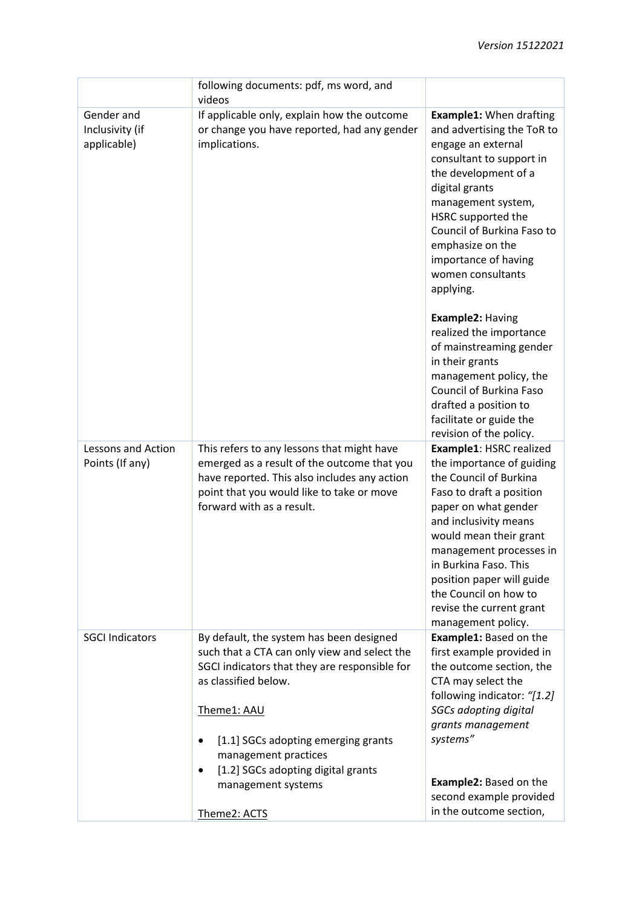|                                       | following documents: pdf, ms word, and<br>videos                                                                                                                                                                        |                                                                                                                                                                                                                                                                                                                                                                                                                                                                                                                                                                                    |
|---------------------------------------|-------------------------------------------------------------------------------------------------------------------------------------------------------------------------------------------------------------------------|------------------------------------------------------------------------------------------------------------------------------------------------------------------------------------------------------------------------------------------------------------------------------------------------------------------------------------------------------------------------------------------------------------------------------------------------------------------------------------------------------------------------------------------------------------------------------------|
| Gender and                            | If applicable only, explain how the outcome                                                                                                                                                                             | <b>Example1: When drafting</b>                                                                                                                                                                                                                                                                                                                                                                                                                                                                                                                                                     |
| Inclusivity (if<br>applicable)        | or change you have reported, had any gender<br>implications.                                                                                                                                                            | and advertising the ToR to<br>engage an external<br>consultant to support in<br>the development of a<br>digital grants<br>management system,<br>HSRC supported the<br>Council of Burkina Faso to<br>emphasize on the<br>importance of having<br>women consultants<br>applying.                                                                                                                                                                                                                                                                                                     |
| Lessons and Action<br>Points (If any) | This refers to any lessons that might have<br>emerged as a result of the outcome that you<br>have reported. This also includes any action<br>point that you would like to take or move<br>forward with as a result.     | Example2: Having<br>realized the importance<br>of mainstreaming gender<br>in their grants<br>management policy, the<br>Council of Burkina Faso<br>drafted a position to<br>facilitate or guide the<br>revision of the policy.<br>Example1: HSRC realized<br>the importance of guiding<br>the Council of Burkina<br>Faso to draft a position<br>paper on what gender<br>and inclusivity means<br>would mean their grant<br>management processes in<br>in Burkina Faso. This<br>position paper will guide<br>the Council on how to<br>revise the current grant<br>management policy. |
| <b>SGCI Indicators</b>                | By default, the system has been designed<br>such that a CTA can only view and select the<br>SGCI indicators that they are responsible for<br>as classified below.<br>Theme1: AAU<br>[1.1] SGCs adopting emerging grants | <b>Example1: Based on the</b><br>first example provided in<br>the outcome section, the<br>CTA may select the<br>following indicator: "[1.2]<br><b>SGCs adopting digital</b><br>grants management<br>systems"                                                                                                                                                                                                                                                                                                                                                                       |
|                                       | management practices<br>[1.2] SGCs adopting digital grants<br>$\bullet$<br>management systems<br>Theme2: ACTS                                                                                                           | Example2: Based on the<br>second example provided<br>in the outcome section,                                                                                                                                                                                                                                                                                                                                                                                                                                                                                                       |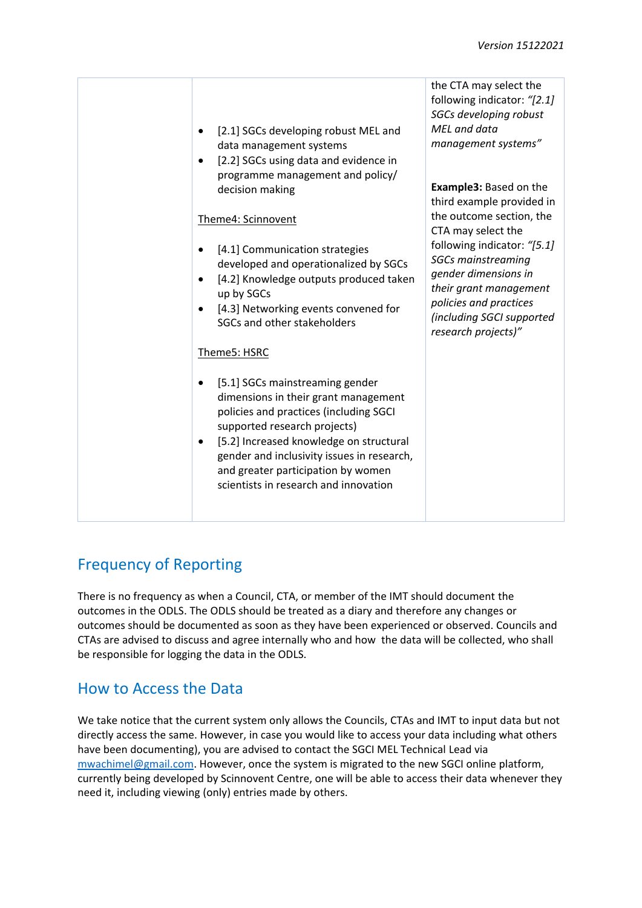| [2.1] SGCs developing robust MEL and<br>data management systems<br>[2.2] SGCs using data and evidence in                                                                                                                                                                                                                                  | the CTA may select the<br>following indicator: "[2.1]<br>SGCs developing robust<br>MEL and data<br>management systems"                                                                                                                                                                                   |
|-------------------------------------------------------------------------------------------------------------------------------------------------------------------------------------------------------------------------------------------------------------------------------------------------------------------------------------------|----------------------------------------------------------------------------------------------------------------------------------------------------------------------------------------------------------------------------------------------------------------------------------------------------------|
| programme management and policy/<br>decision making<br>Theme4: Scinnovent                                                                                                                                                                                                                                                                 | <b>Example3: Based on the</b><br>third example provided in<br>the outcome section, the<br>CTA may select the<br>following indicator: "[5.1]<br><b>SGCs mainstreaming</b><br>gender dimensions in<br>their grant management<br>policies and practices<br>(including SGCI supported<br>research projects)" |
| [4.1] Communication strategies<br>developed and operationalized by SGCs<br>[4.2] Knowledge outputs produced taken<br>up by SGCs<br>[4.3] Networking events convened for<br>SGCs and other stakeholders                                                                                                                                    |                                                                                                                                                                                                                                                                                                          |
| Theme5: HSRC<br>[5.1] SGCs mainstreaming gender<br>dimensions in their grant management<br>policies and practices (including SGCI<br>supported research projects)<br>[5.2] Increased knowledge on structural<br>gender and inclusivity issues in research,<br>and greater participation by women<br>scientists in research and innovation |                                                                                                                                                                                                                                                                                                          |

## Frequency of Reporting

There is no frequency as when a Council, CTA, or member of the IMT should document the outcomes in the ODLS. The ODLS should be treated as a diary and therefore any changes or outcomes should be documented as soon as they have been experienced or observed. Councils and CTAs are advised to discuss and agree internally who and how the data will be collected, who shall be responsible for logging the data in the ODLS.

## How to Access the Data

We take notice that the current system only allows the Councils, CTAs and IMT to input data but not directly access the same. However, in case you would like to access your data including what others have been documenting), you are advised to contact the SGCI MEL Technical Lead via [mwachimel@gmail.com.](mailto:mwachimel@gmail.com) However, once the system is migrated to the new SGCI online platform, currently being developed by Scinnovent Centre, one will be able to access their data whenever they need it, including viewing (only) entries made by others.